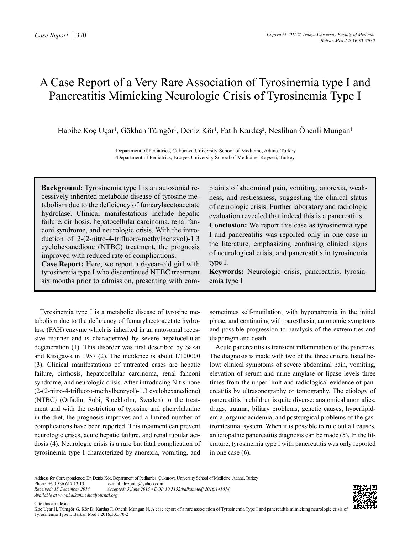# A Case Report of a Very Rare Association of Tyrosinemia type I and Pancreatitis Mimicking Neurologic Crisis of Tyrosinemia Type I

Habibe Koç Uçar<sup>ı</sup>, Gökhan Tümgör<sup>ı</sup>, Deniz Kör<sup>ı</sup>, Fatih Kardaş<sup>2</sup>, Neslihan Önenli Mungan<sup>ı</sup>

1 Department of Pediatrics, Çukurova University School of Medicine, Adana, Turkey ²Department of Pediatrics, Erciyes University School of Medicine, Kayseri, Turkey

**Background:** Tyrosinemia type I is an autosomal recessively inherited metabolic disease of tyrosine metabolism due to the deficiency of fumarylacetoacetate hydrolase. Clinical manifestations include hepatic failure, cirrhosis, hepatocellular carcinoma, renal fanconi syndrome, and neurologic crisis. With the introduction of 2-(2-nitro-4-trifluoro-methylbenzyol)-1.3 cyclohexanedione (NTBC) treatment, the prognosis improved with reduced rate of complications.

**Case Report:** Here, we report a 6-year-old girl with tyrosinemia type I who discontinued NTBC treatment six months prior to admission, presenting with complaints of abdominal pain, vomiting, anorexia, weakness, and restlessness, suggesting the clinical status of neurologic crisis. Further laboratory and radiologic evaluation revealed that indeed this is a pancreatitis. **Conclusion:** We report this case as tyrosinemia type I and pancreatitis was reported only in one case in the literature, emphasizing confusing clinical signs of neurological crisis, and pancreatitis in tyrosinemia type I.

**Keywords:** Neurologic crisis, pancreatitis, tyrosinemia type I

Tyrosinemia type I is a metabolic disease of tyrosine metabolism due to the deficiency of fumarylacetoacetate hydrolase (FAH) enzyme which is inherited in an autosomal recessive manner and is characterized by severe hepatocellular degeneration (1). This disorder was first described by Sakai and Kitogawa in 1957 (2). The incidence is about 1/100000 (3). Clinical manifestations of untreated cases are hepatic failure, cirrhosis, hepatocellular carcinoma, renal fanconi syndrome, and neurologic crisis. After introducing Nitisinone (2-(2-nitro-4-trifluoro-methylbenzyol)-1.3 cyclohexanedione) (NTBC) (Orfadin; Sobi, Stockholm, Sweden) to the treatment and with the restriction of tyrosine and phenylalanine in the diet, the prognosis improves and a limited number of complications have been reported. This treatment can prevent neurologic crises, acute hepatic failure, and renal tubular acidosis (4). Neurologic crisis is a rare but fatal complication of tyrosinemia type I characterized by anorexia, vomiting, and

sometimes self-mutilation, with hyponatremia in the initial phase, and continuing with paresthesia, autonomic symptoms and possible progression to paralysis of the extremities and diaphragm and death.

Acute pancreatitis is transient inflammation of the pancreas. The diagnosis is made with two of the three criteria listed below: clinical symptoms of severe abdominal pain, vomiting, elevation of serum and urine amylase or lipase levels three times from the upper limit and radiological evidence of pancreatitis by ultrasonography or tomography. The etiology of pancreatitis in children is quite diverse: anatomical anomalies, drugs, trauma, biliary problems, genetic causes, hyperlipidemia, organic acidemia, and postsurgical problems of the gastrointestinal system. When it is possible to rule out all causes, an idiopathic pancreatitis diagnosis can be made (5). In the literature, tyrosinemia type I with pancreatitis was only reported in one case (6).

Cite this article as:



Address for Correspondence: Dr. Deniz Kör, Department of Pediatrics, Çukurova University School of Medicine, Adana, Turkey<br>Phone: +90 536 617 13 13 e-mail: dozonur@vahoo.com

Phone: +90 536 617 13 13 e-mail: dozonur@yahoo.com<br>Received: 15 December 2014 Accepted: 3 June 2015 • DOI: *Received: 15 December 2014 Accepted: 3 June 2015 • DOI: 10.5152/balkanmedj.2016.141074 Available at www.balkanmedicaljournal.org*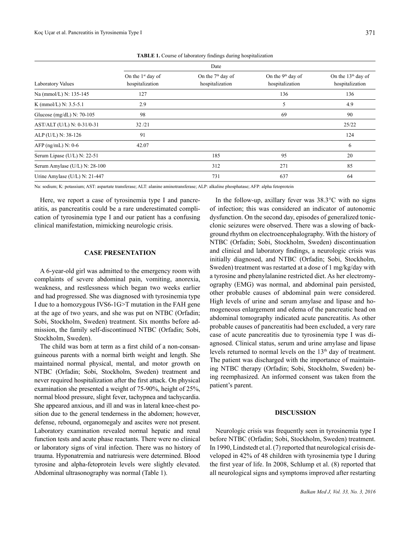|                               | Date                                   |                                        |                                                  |                                                   |
|-------------------------------|----------------------------------------|----------------------------------------|--------------------------------------------------|---------------------------------------------------|
| Laboratory Values             | On the $1st$ day of<br>hospitalization | On the $7th$ day of<br>hospitalization | On the 9 <sup>th</sup> day of<br>hospitalization | On the 13 <sup>th</sup> day of<br>hospitalization |
| Na (mmol/L) N: 135-145        | 127                                    |                                        | 136                                              | 136                                               |
| K (mmol/L) N: $3.5-5.1$       | 2.9                                    |                                        | 5                                                | 4.9                                               |
| Glucose (mg/dL) N: $70-105$   | 98                                     |                                        | 69                                               | 90                                                |
| AST/ALT (U/L) N: 0-31/0-31    | 32/21                                  |                                        |                                                  | 25/22                                             |
| ALP (U/L) N: 38-126           | 91                                     |                                        |                                                  | 124                                               |
| AFP $(ng/mL)$ N: 0-6          | 42.07                                  |                                        |                                                  | 6                                                 |
| Serum Lipase (U/L) N: 22-51   |                                        | 185                                    | 95                                               | 20                                                |
| Serum Amylase (U/L) N: 28-100 |                                        | 312                                    | 271                                              | 85                                                |
| Urine Amylase (U/L) N: 21-447 |                                        | 731                                    | 637                                              | 64                                                |

**TABLE 1.** Course of laboratory findings during hospitalization

Na: sodium; K: potassium; AST: aspartate transferase; ALT: alanine aminotransferase; ALP: alkaline phosphatase; AFP: alpha fetoprotein

Here, we report a case of tyrosinemia type I and pancreatitis, as pancreatitis could be a rare underestimated complication of tyrosinemia type I and our patient has a confusing clinical manifestation, mimicking neurologic crisis.

## **CASE PRESENTATION**

A 6-year-old girl was admitted to the emergency room with complaints of severe abdominal pain, vomiting, anorexia, weakness, and restlessness which began two weeks earlier and had progressed. She was diagnosed with tyrosinemia type I due to a homozygous IVS6-1G>T mutation in the FAH gene at the age of two years, and she was put on NTBC (Orfadin; Sobi, Stockholm, Sweden) treatment. Six months before admission, the family self-discontinued NTBC (Orfadin; Sobi, Stockholm, Sweden).

The child was born at term as a first child of a non-consanguineous parents with a normal birth weight and length. She maintained normal physical, mental, and motor growth on NTBC (Orfadin; Sobi, Stockholm, Sweden) treatment and never required hospitalization after the first attack. On physical examination she presented a weight of 75-90%, height of 25%, normal blood pressure, slight fever, tachypnea and tachycardia. She appeared anxious, and ill and was in lateral knee-chest position due to the general tenderness in the abdomen; however, defense, rebound, organomegaly and ascites were not present. Laboratory examination revealed normal hepatic and renal function tests and acute phase reactants. There were no clinical or laboratory signs of viral infection. There was no history of trauma. Hyponatremia and natriuresis were determined. Blood tyrosine and alpha-fetoprotein levels were slightly elevated. Abdominal ultrasonography was normal (Table 1).

In the follow-up, axillary fever was  $38.3^{\circ}$ C with no signs of infection; this was considered an indicator of autonomic dysfunction. On the second day, episodes of generalized tonicclonic seizures were observed. There was a slowing of background rhythm on electroencephalography. With the history of NTBC (Orfadin; Sobi, Stockholm, Sweden) discontinuation and clinical and laboratory findings, a neurologic crisis was initially diagnosed, and NTBC (Orfadin; Sobi, Stockholm, Sweden) treatment was restarted at a dose of 1 mg/kg/day with a tyrosine and phenylalanine restricted diet. As her electromyography (EMG) was normal, and abdominal pain persisted, other probable causes of abdominal pain were considered. High levels of urine and serum amylase and lipase and homogeneous enlargement and edema of the pancreatic head on abdominal tomography indicated acute pancreatitis. As other probable causes of pancreatitis had been excluded, a very rare case of acute pancreatitis due to tyrosinemia type I was diagnosed. Clinical status, serum and urine amylase and lipase levels returned to normal levels on the 13<sup>th</sup> day of treatment. The patient was discharged with the importance of maintaining NTBC therapy (Orfadin; Sobi, Stockholm, Sweden) being reemphasized. An informed consent was taken from the patient's parent.

### **DISCUSSION**

Neurologic crisis was frequently seen in tyrosinemia type I before NTBC (Orfadin; Sobi, Stockholm, Sweden) treatment. In 1990, Lindstedt et al. (7) reported that neurological crisis developed in 42% of 48 children with tyrosinemia type I during the first year of life. In 2008, Schlump et al. (8) reported that all neurological signs and symptoms improved after restarting